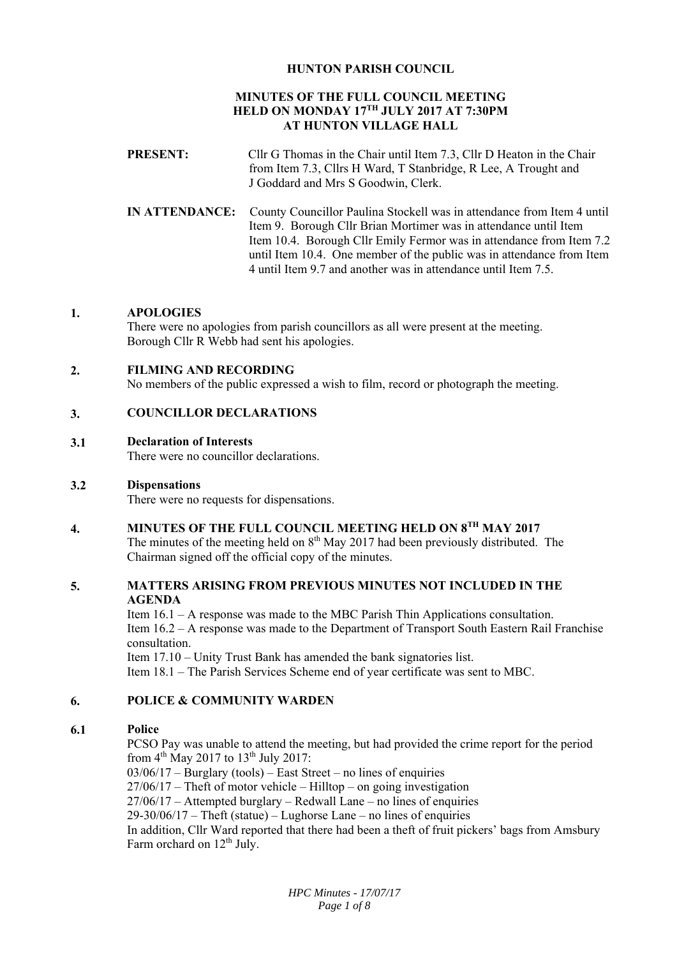# **HUNTON PARISH COUNCIL**

## **MINUTES OF THE FULL COUNCIL MEETING HELD ON MONDAY 17TH JULY 2017 AT 7:30PM AT HUNTON VILLAGE HALL**

- **PRESENT:** Cllr G Thomas in the Chair until Item 7.3, Cllr D Heaton in the Chair from Item 7.3, Cllrs H Ward, T Stanbridge, R Lee, A Trought and J Goddard and Mrs S Goodwin, Clerk.
- **IN ATTENDANCE:** County Councillor Paulina Stockell was in attendance from Item 4 until Item 9. Borough Cllr Brian Mortimer was in attendance until Item Item 10.4. Borough Cllr Emily Fermor was in attendance from Item 7.2 until Item 10.4. One member of the public was in attendance from Item 4 until Item 9.7 and another was in attendance until Item 7.5.

#### **1. APOLOGIES**

There were no apologies from parish councillors as all were present at the meeting. Borough Cllr R Webb had sent his apologies.

#### **2. FILMING AND RECORDING**

No members of the public expressed a wish to film, record or photograph the meeting.

#### **3. COUNCILLOR DECLARATIONS**

#### **3.1 Declaration of Interests**

There were no councillor declarations.

#### **3.2 Dispensations**

There were no requests for dispensations.

#### **4. MINUTES OF THE FULL COUNCIL MEETING HELD ON 8TH MAY 2017**

The minutes of the meeting held on  $8<sup>th</sup>$  May 2017 had been previously distributed. The Chairman signed off the official copy of the minutes.

### **5. MATTERS ARISING FROM PREVIOUS MINUTES NOT INCLUDED IN THE AGENDA**

Item 16.1 – A response was made to the MBC Parish Thin Applications consultation. Item 16.2 – A response was made to the Department of Transport South Eastern Rail Franchise consultation.

Item 17.10 – Unity Trust Bank has amended the bank signatories list. Item 18.1 – The Parish Services Scheme end of year certificate was sent to MBC.

#### **6. POLICE & COMMUNITY WARDEN**

#### **6.1 Police**

PCSO Pay was unable to attend the meeting, but had provided the crime report for the period from  $4<sup>th</sup>$  May 2017 to 13<sup>th</sup> July 2017:

03/06/17 – Burglary (tools) – East Street – no lines of enquiries 27/06/17 – Theft of motor vehicle – Hilltop – on going investigation 27/06/17 – Attempted burglary – Redwall Lane – no lines of enquiries  $29-30/06/17$  – Theft (statue) – Lughorse Lane – no lines of enquiries In addition, Cllr Ward reported that there had been a theft of fruit pickers' bags from Amsbury Farm orchard on 12<sup>th</sup> July.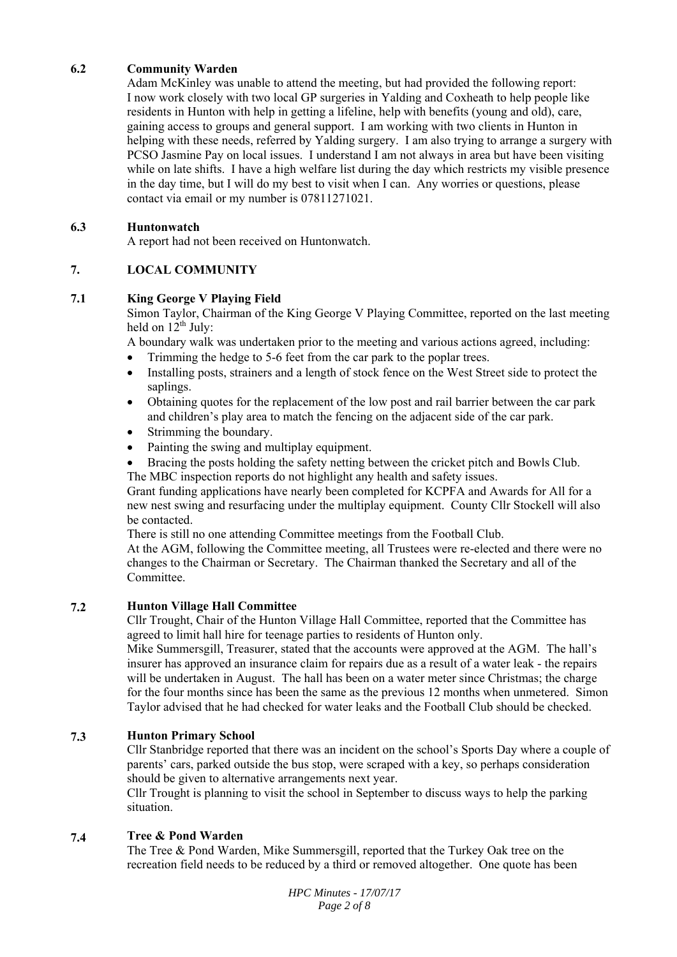#### **6.2 Community Warden**

Adam McKinley was unable to attend the meeting, but had provided the following report: I now work closely with two local GP surgeries in Yalding and Coxheath to help people like residents in Hunton with help in getting a lifeline, help with benefits (young and old), care, gaining access to groups and general support. I am working with two clients in Hunton in helping with these needs, referred by Yalding surgery. I am also trying to arrange a surgery with PCSO Jasmine Pay on local issues. I understand I am not always in area but have been visiting while on late shifts. I have a high welfare list during the day which restricts my visible presence in the day time, but I will do my best to visit when I can. Any worries or questions, please contact via email or my number is 07811271021.

#### **6.3 Huntonwatch**

A report had not been received on Huntonwatch.

#### **7. LOCAL COMMUNITY**

#### **7.1 King George V Playing Field**

Simon Taylor, Chairman of the King George V Playing Committee, reported on the last meeting held on  $12<sup>th</sup>$  July:

A boundary walk was undertaken prior to the meeting and various actions agreed, including:

- Trimming the hedge to 5-6 feet from the car park to the poplar trees.
- Installing posts, strainers and a length of stock fence on the West Street side to protect the saplings.
- Obtaining quotes for the replacement of the low post and rail barrier between the car park and children's play area to match the fencing on the adjacent side of the car park.
- Strimming the boundary.
- Painting the swing and multiplay equipment.
- Bracing the posts holding the safety netting between the cricket pitch and Bowls Club.

The MBC inspection reports do not highlight any health and safety issues.

Grant funding applications have nearly been completed for KCPFA and Awards for All for a new nest swing and resurfacing under the multiplay equipment. County Cllr Stockell will also be contacted.

There is still no one attending Committee meetings from the Football Club.

At the AGM, following the Committee meeting, all Trustees were re-elected and there were no changes to the Chairman or Secretary. The Chairman thanked the Secretary and all of the Committee.

#### **7.2 Hunton Village Hall Committee**

Cllr Trought, Chair of the Hunton Village Hall Committee, reported that the Committee has agreed to limit hall hire for teenage parties to residents of Hunton only.

Mike Summersgill, Treasurer, stated that the accounts were approved at the AGM. The hall's insurer has approved an insurance claim for repairs due as a result of a water leak - the repairs will be undertaken in August. The hall has been on a water meter since Christmas; the charge for the four months since has been the same as the previous 12 months when unmetered. Simon Taylor advised that he had checked for water leaks and the Football Club should be checked.

#### **7.3 Hunton Primary School**

Cllr Stanbridge reported that there was an incident on the school's Sports Day where a couple of parents' cars, parked outside the bus stop, were scraped with a key, so perhaps consideration should be given to alternative arrangements next year.

Cllr Trought is planning to visit the school in September to discuss ways to help the parking situation.

#### **7.4 Tree & Pond Warden**

The Tree & Pond Warden, Mike Summersgill, reported that the Turkey Oak tree on the recreation field needs to be reduced by a third or removed altogether. One quote has been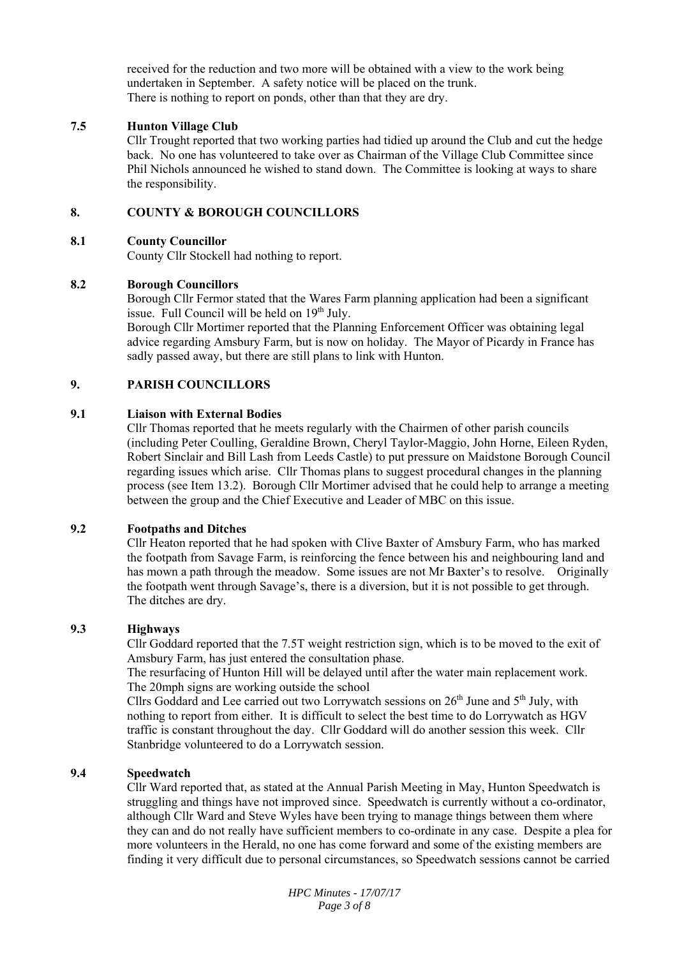received for the reduction and two more will be obtained with a view to the work being undertaken in September. A safety notice will be placed on the trunk. There is nothing to report on ponds, other than that they are dry.

#### **7.5 Hunton Village Club**

Cllr Trought reported that two working parties had tidied up around the Club and cut the hedge back. No one has volunteered to take over as Chairman of the Village Club Committee since Phil Nichols announced he wished to stand down. The Committee is looking at ways to share the responsibility.

#### **8. COUNTY & BOROUGH COUNCILLORS**

#### **8.1 County Councillor**

County Cllr Stockell had nothing to report.

#### **8.2 Borough Councillors**

Borough Cllr Fermor stated that the Wares Farm planning application had been a significant issue. Full Council will be held on 19<sup>th</sup> July.

Borough Cllr Mortimer reported that the Planning Enforcement Officer was obtaining legal advice regarding Amsbury Farm, but is now on holiday. The Mayor of Picardy in France has sadly passed away, but there are still plans to link with Hunton.

#### **9. PARISH COUNCILLORS**

#### **9.1 Liaison with External Bodies**

Cllr Thomas reported that he meets regularly with the Chairmen of other parish councils (including Peter Coulling, Geraldine Brown, Cheryl Taylor-Maggio, John Horne, Eileen Ryden, Robert Sinclair and Bill Lash from Leeds Castle) to put pressure on Maidstone Borough Council regarding issues which arise. Cllr Thomas plans to suggest procedural changes in the planning process (see Item 13.2). Borough Cllr Mortimer advised that he could help to arrange a meeting between the group and the Chief Executive and Leader of MBC on this issue.

#### **9.2 Footpaths and Ditches**

Cllr Heaton reported that he had spoken with Clive Baxter of Amsbury Farm, who has marked the footpath from Savage Farm, is reinforcing the fence between his and neighbouring land and has mown a path through the meadow. Some issues are not Mr Baxter's to resolve. Originally the footpath went through Savage's, there is a diversion, but it is not possible to get through. The ditches are dry.

#### **9.3 Highways**

Cllr Goddard reported that the 7.5T weight restriction sign, which is to be moved to the exit of Amsbury Farm, has just entered the consultation phase.

The resurfacing of Hunton Hill will be delayed until after the water main replacement work. The 20mph signs are working outside the school

Cllrs Goddard and Lee carried out two Lorrywatch sessions on  $26<sup>th</sup>$  June and  $5<sup>th</sup>$  July, with nothing to report from either. It is difficult to select the best time to do Lorrywatch as HGV traffic is constant throughout the day. Cllr Goddard will do another session this week. Cllr Stanbridge volunteered to do a Lorrywatch session.

#### **9.4 Speedwatch**

Cllr Ward reported that, as stated at the Annual Parish Meeting in May, Hunton Speedwatch is struggling and things have not improved since. Speedwatch is currently without a co-ordinator, although Cllr Ward and Steve Wyles have been trying to manage things between them where they can and do not really have sufficient members to co-ordinate in any case. Despite a plea for more volunteers in the Herald, no one has come forward and some of the existing members are finding it very difficult due to personal circumstances, so Speedwatch sessions cannot be carried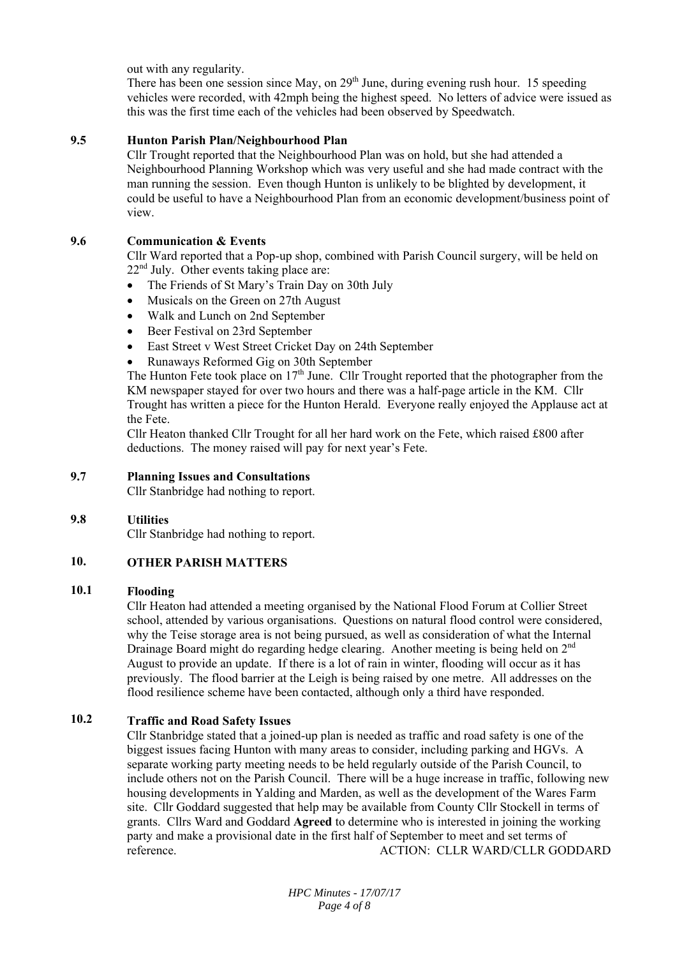out with any regularity.

There has been one session since May, on 29<sup>th</sup> June, during evening rush hour. 15 speeding vehicles were recorded, with 42mph being the highest speed. No letters of advice were issued as this was the first time each of the vehicles had been observed by Speedwatch.

#### **9.5 Hunton Parish Plan/Neighbourhood Plan**

Cllr Trought reported that the Neighbourhood Plan was on hold, but she had attended a Neighbourhood Planning Workshop which was very useful and she had made contract with the man running the session. Even though Hunton is unlikely to be blighted by development, it could be useful to have a Neighbourhood Plan from an economic development/business point of view.

#### **9.6 Communication & Events**

Cllr Ward reported that a Pop-up shop, combined with Parish Council surgery, will be held on 22<sup>nd</sup> July. Other events taking place are:

- The Friends of St Mary's Train Day on 30th July
- Musicals on the Green on 27th August
- Walk and Lunch on 2nd September
- Beer Festival on 23rd September
- East Street v West Street Cricket Day on 24th September
- Runaways Reformed Gig on 30th September

The Hunton Fete took place on  $17<sup>th</sup>$  June. Cllr Trought reported that the photographer from the KM newspaper stayed for over two hours and there was a half-page article in the KM. Cllr Trought has written a piece for the Hunton Herald. Everyone really enjoyed the Applause act at the Fete.

Cllr Heaton thanked Cllr Trought for all her hard work on the Fete, which raised £800 after deductions. The money raised will pay for next year's Fete.

#### **9.7 Planning Issues and Consultations**

Cllr Stanbridge had nothing to report.

#### **9.8 Utilities**

Cllr Stanbridge had nothing to report.

#### **10. OTHER PARISH MATTERS**

#### **10.1 Flooding**

Cllr Heaton had attended a meeting organised by the National Flood Forum at Collier Street school, attended by various organisations. Questions on natural flood control were considered, why the Teise storage area is not being pursued, as well as consideration of what the Internal Drainage Board might do regarding hedge clearing. Another meeting is being held on 2<sup>nd</sup> August to provide an update. If there is a lot of rain in winter, flooding will occur as it has previously. The flood barrier at the Leigh is being raised by one metre. All addresses on the flood resilience scheme have been contacted, although only a third have responded.

#### **10.2 Traffic and Road Safety Issues**

Cllr Stanbridge stated that a joined-up plan is needed as traffic and road safety is one of the biggest issues facing Hunton with many areas to consider, including parking and HGVs. A separate working party meeting needs to be held regularly outside of the Parish Council, to include others not on the Parish Council. There will be a huge increase in traffic, following new housing developments in Yalding and Marden, as well as the development of the Wares Farm site. Cllr Goddard suggested that help may be available from County Cllr Stockell in terms of grants. Cllrs Ward and Goddard **Agreed** to determine who is interested in joining the working party and make a provisional date in the first half of September to meet and set terms of reference. ACTION: CLLR WARD/CLLR GODDARD

> *HPC Minutes - 17/07/17 Page 4 of 8*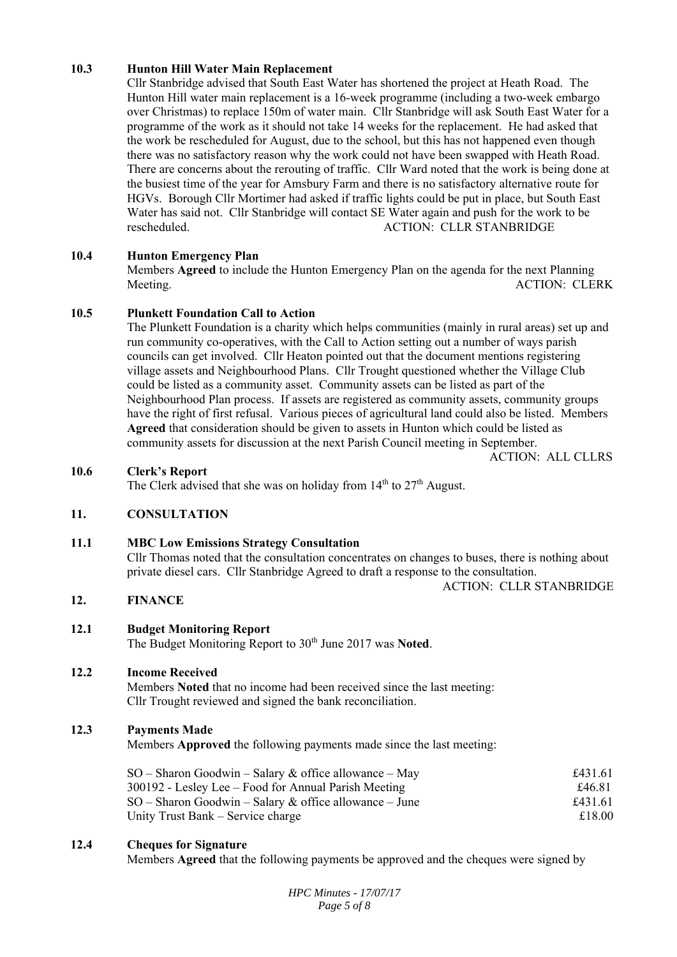#### **10.3 Hunton Hill Water Main Replacement**

Cllr Stanbridge advised that South East Water has shortened the project at Heath Road. The Hunton Hill water main replacement is a 16-week programme (including a two-week embargo over Christmas) to replace 150m of water main. Cllr Stanbridge will ask South East Water for a programme of the work as it should not take 14 weeks for the replacement. He had asked that the work be rescheduled for August, due to the school, but this has not happened even though there was no satisfactory reason why the work could not have been swapped with Heath Road. There are concerns about the rerouting of traffic. Cllr Ward noted that the work is being done at the busiest time of the year for Amsbury Farm and there is no satisfactory alternative route for HGVs. Borough Cllr Mortimer had asked if traffic lights could be put in place, but South East Water has said not. Cllr Stanbridge will contact SE Water again and push for the work to be rescheduled. ACTION: CLLR STANBRIDGE

#### **10.4 Hunton Emergency Plan**

Members **Agreed** to include the Hunton Emergency Plan on the agenda for the next Planning Meeting. ACTION: CLERK

#### **10.5 Plunkett Foundation Call to Action**

The Plunkett Foundation is a charity which helps communities (mainly in rural areas) set up and run community co-operatives, with the Call to Action setting out a number of ways parish councils can get involved. Cllr Heaton pointed out that the document mentions registering village assets and Neighbourhood Plans. Cllr Trought questioned whether the Village Club could be listed as a community asset. Community assets can be listed as part of the Neighbourhood Plan process. If assets are registered as community assets, community groups have the right of first refusal. Various pieces of agricultural land could also be listed. Members **Agreed** that consideration should be given to assets in Hunton which could be listed as community assets for discussion at the next Parish Council meeting in September.

ACTION: ALL CLLRS

#### **10.6 Clerk's Report**

The Clerk advised that she was on holiday from  $14<sup>th</sup>$  to  $27<sup>th</sup>$  August.

#### **11. CONSULTATION**

#### **11.1 MBC Low Emissions Strategy Consultation**

Cllr Thomas noted that the consultation concentrates on changes to buses, there is nothing about private diesel cars. Cllr Stanbridge Agreed to draft a response to the consultation.

ACTION: CLLR STANBRIDGE

#### **12. FINANCE**

#### **12.1 Budget Monitoring Report**

The Budget Monitoring Report to 30th June 2017 was **Noted**.

#### **12.2 Income Received**

Members **Noted** that no income had been received since the last meeting: Cllr Trought reviewed and signed the bank reconciliation.

#### **12.3 Payments Made**

Members **Approved** the following payments made since the last meeting:

| $SO -$ Sharon Goodwin – Salary & office allowance – May  | £431.61 |
|----------------------------------------------------------|---------|
| 300192 - Lesley Lee – Food for Annual Parish Meeting     | £46.81  |
| $SO -$ Sharon Goodwin – Salary & office allowance – June | £431.61 |
| Unity Trust Bank – Service charge                        | £18.00  |

#### **12.4 Cheques for Signature**

Members **Agreed** that the following payments be approved and the cheques were signed by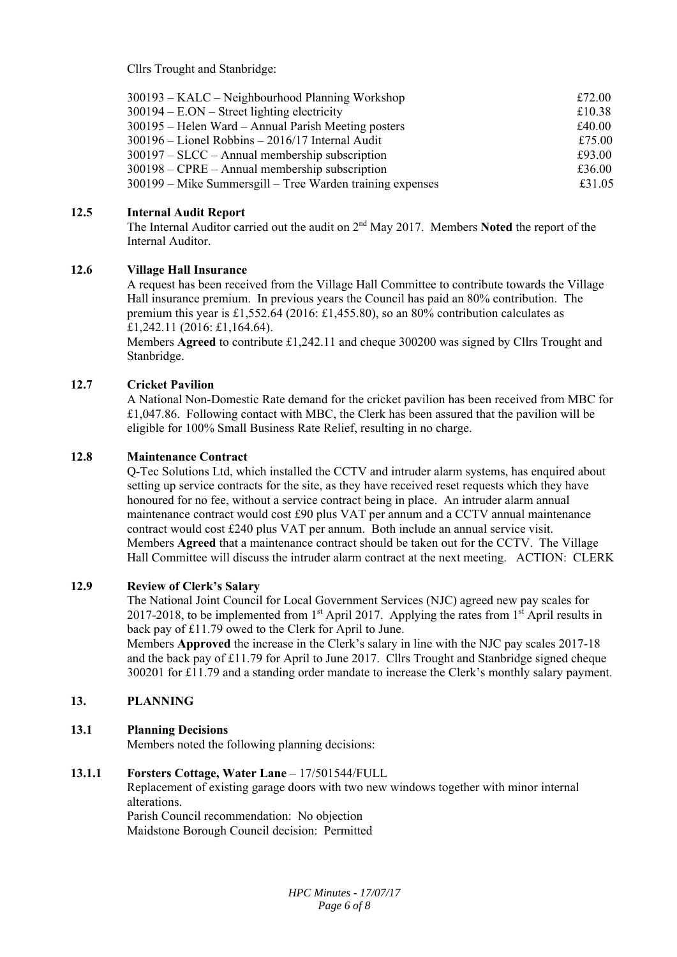Cllrs Trought and Stanbridge:

| 300193 – KALC – Neighbourhood Planning Workshop                | £72.00 |
|----------------------------------------------------------------|--------|
| $300194 - EON - Street lighting electricity$                   | £10.38 |
| 300195 – Helen Ward – Annual Parish Meeting posters            | £40.00 |
| $300196 -$ Lionel Robbins $- 2016/17$ Internal Audit           | £75.00 |
| $300197 - SLCC - Annual membership$ subscription               | £93.00 |
| $300198 - \text{CPRE} - \text{Annual membership subscription}$ | £36.00 |
| 300199 – Mike Summersgill – Tree Warden training expenses      | £31.05 |

#### **12.5 Internal Audit Report**

The Internal Auditor carried out the audit on 2nd May 2017. Members **Noted** the report of the Internal Auditor.

#### **12.6 Village Hall Insurance**

A request has been received from the Village Hall Committee to contribute towards the Village Hall insurance premium. In previous years the Council has paid an 80% contribution. The premium this year is £1,552.64 (2016: £1,455.80), so an 80% contribution calculates as £1,242.11 (2016: £1,164.64).

Members **Agreed** to contribute £1,242.11 and cheque 300200 was signed by Cllrs Trought and Stanbridge.

#### **12.7 Cricket Pavilion**

A National Non-Domestic Rate demand for the cricket pavilion has been received from MBC for £1,047.86. Following contact with MBC, the Clerk has been assured that the pavilion will be eligible for 100% Small Business Rate Relief, resulting in no charge.

#### **12.8 Maintenance Contract**

Q-Tec Solutions Ltd, which installed the CCTV and intruder alarm systems, has enquired about setting up service contracts for the site, as they have received reset requests which they have honoured for no fee, without a service contract being in place. An intruder alarm annual maintenance contract would cost £90 plus VAT per annum and a CCTV annual maintenance contract would cost £240 plus VAT per annum. Both include an annual service visit. Members **Agreed** that a maintenance contract should be taken out for the CCTV. The Village Hall Committee will discuss the intruder alarm contract at the next meeting. ACTION: CLERK

#### **12.9 Review of Clerk's Salary**

The National Joint Council for Local Government Services (NJC) agreed new pay scales for 2017-2018, to be implemented from  $1<sup>st</sup>$  April 2017. Applying the rates from  $1<sup>st</sup>$  April results in back pay of £11.79 owed to the Clerk for April to June.

Members **Approved** the increase in the Clerk's salary in line with the NJC pay scales 2017-18 and the back pay of £11.79 for April to June 2017. Cllrs Trought and Stanbridge signed cheque 300201 for £11.79 and a standing order mandate to increase the Clerk's monthly salary payment.

#### **13. PLANNING**

#### **13.1 Planning Decisions**

Members noted the following planning decisions:

#### **13.1.1 Forsters Cottage, Water Lane** – 17/501544/FULL

Replacement of existing garage doors with two new windows together with minor internal alterations.

Parish Council recommendation: No objection Maidstone Borough Council decision: Permitted

> *HPC Minutes - 17/07/17 Page 6 of 8*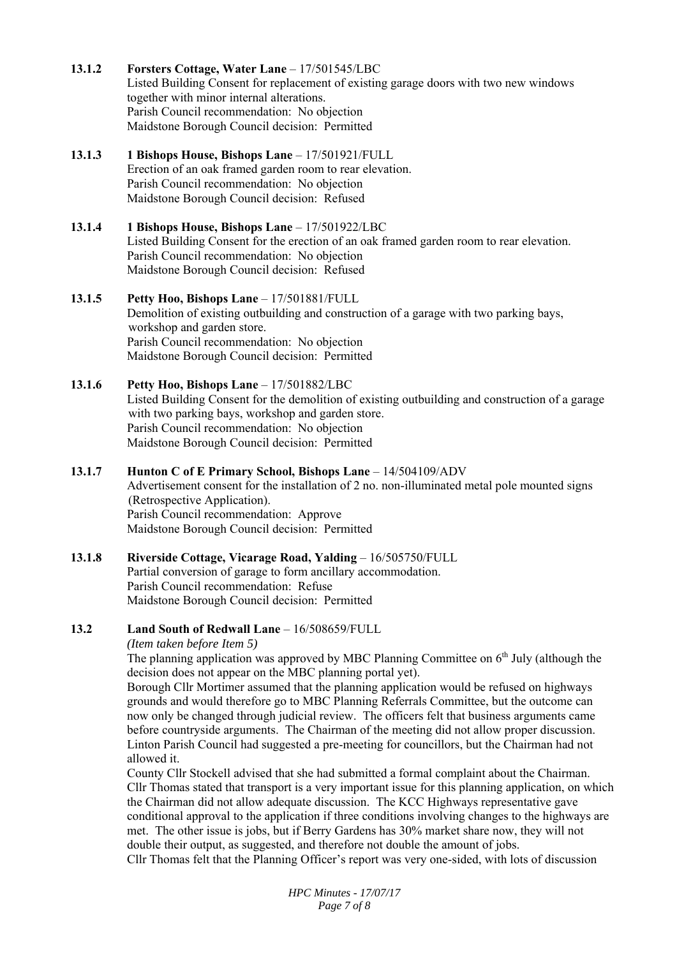- **13.1.2 Forsters Cottage, Water Lane** – 17/501545/LBC Listed Building Consent for replacement of existing garage doors with two new windows together with minor internal alterations. Parish Council recommendation: No objection Maidstone Borough Council decision: Permitted
- **13.1.3 1 Bishops House, Bishops Lane** – 17/501921/FULL Erection of an oak framed garden room to rear elevation. Parish Council recommendation: No objection Maidstone Borough Council decision: Refused

### **13.1.4 1 Bishops House, Bishops Lane** – 17/501922/LBC Listed Building Consent for the erection of an oak framed garden room to rear elevation. Parish Council recommendation: No objection Maidstone Borough Council decision: Refused

### **13.1.5 Petty Hoo, Bishops Lane** – 17/501881/FULL Demolition of existing outbuilding and construction of a garage with two parking bays, workshop and garden store. Parish Council recommendation: No objection Maidstone Borough Council decision: Permitted

**13.1.6**  Petty Hoo, Bishops Lane - 17/501882/LBC Listed Building Consent for the demolition of existing outbuilding and construction of a garage with two parking bays, workshop and garden store. Parish Council recommendation: No objection Maidstone Borough Council decision: Permitted

## **13.1.7 Hunton C of E Primary School, Bishops Lane** – 14/504109/ADV Advertisement consent for the installation of 2 no. non-illuminated metal pole mounted signs (Retrospective Application). Parish Council recommendation: Approve Maidstone Borough Council decision: Permitted

### **13.1.8 Riverside Cottage, Vicarage Road, Yalding** – 16/505750/FULL Partial conversion of garage to form ancillary accommodation. Parish Council recommendation: Refuse Maidstone Borough Council decision: Permitted

#### **13.2 Land South of Redwall Lane** – 16/508659/FULL

*(Item taken before Item 5)* 

The planning application was approved by MBC Planning Committee on 6<sup>th</sup> July (although the decision does not appear on the MBC planning portal yet).

Borough Cllr Mortimer assumed that the planning application would be refused on highways grounds and would therefore go to MBC Planning Referrals Committee, but the outcome can now only be changed through judicial review. The officers felt that business arguments came before countryside arguments. The Chairman of the meeting did not allow proper discussion. Linton Parish Council had suggested a pre-meeting for councillors, but the Chairman had not allowed it.

County Cllr Stockell advised that she had submitted a formal complaint about the Chairman. Cllr Thomas stated that transport is a very important issue for this planning application, on which the Chairman did not allow adequate discussion. The KCC Highways representative gave conditional approval to the application if three conditions involving changes to the highways are met. The other issue is jobs, but if Berry Gardens has 30% market share now, they will not double their output, as suggested, and therefore not double the amount of jobs. Cllr Thomas felt that the Planning Officer's report was very one-sided, with lots of discussion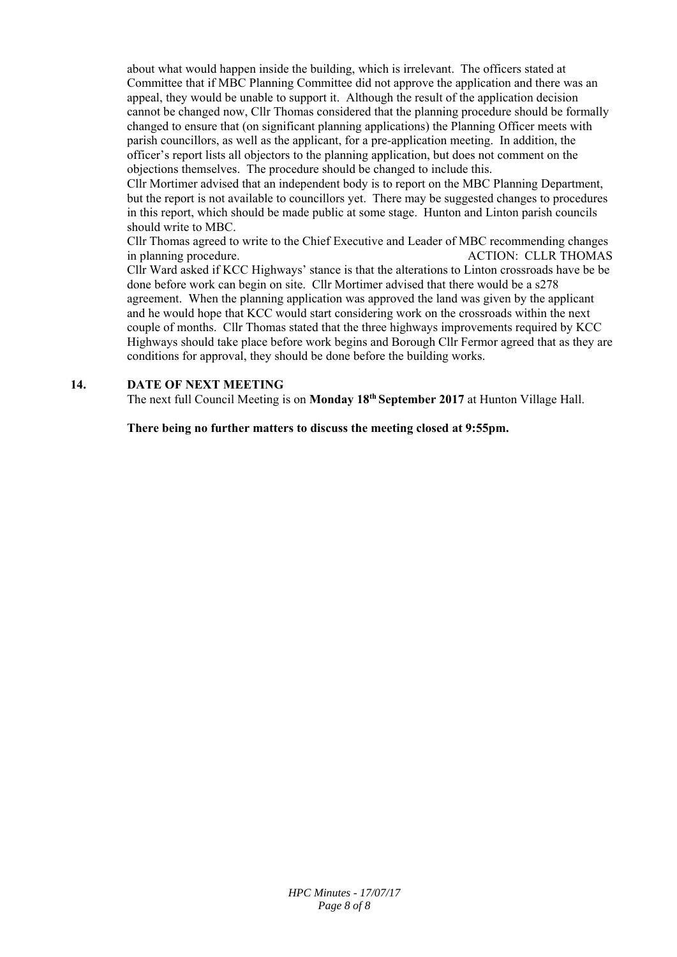about what would happen inside the building, which is irrelevant. The officers stated at Committee that if MBC Planning Committee did not approve the application and there was an appeal, they would be unable to support it. Although the result of the application decision cannot be changed now, Cllr Thomas considered that the planning procedure should be formally changed to ensure that (on significant planning applications) the Planning Officer meets with parish councillors, as well as the applicant, for a pre-application meeting. In addition, the officer's report lists all objectors to the planning application, but does not comment on the objections themselves. The procedure should be changed to include this.

Cllr Mortimer advised that an independent body is to report on the MBC Planning Department, but the report is not available to councillors yet. There may be suggested changes to procedures in this report, which should be made public at some stage. Hunton and Linton parish councils should write to MBC.

Cllr Thomas agreed to write to the Chief Executive and Leader of MBC recommending changes in planning procedure. ACTION: CLLR THOMAS Cllr Ward asked if KCC Highways' stance is that the alterations to Linton crossroads have be be done before work can begin on site. Cllr Mortimer advised that there would be a s278 agreement. When the planning application was approved the land was given by the applicant and he would hope that KCC would start considering work on the crossroads within the next couple of months. Cllr Thomas stated that the three highways improvements required by KCC Highways should take place before work begins and Borough Cllr Fermor agreed that as they are conditions for approval, they should be done before the building works.

#### **14. DATE OF NEXT MEETING**

The next full Council Meeting is on **Monday 18th September 2017** at Hunton Village Hall.

**There being no further matters to discuss the meeting closed at 9:55pm.**